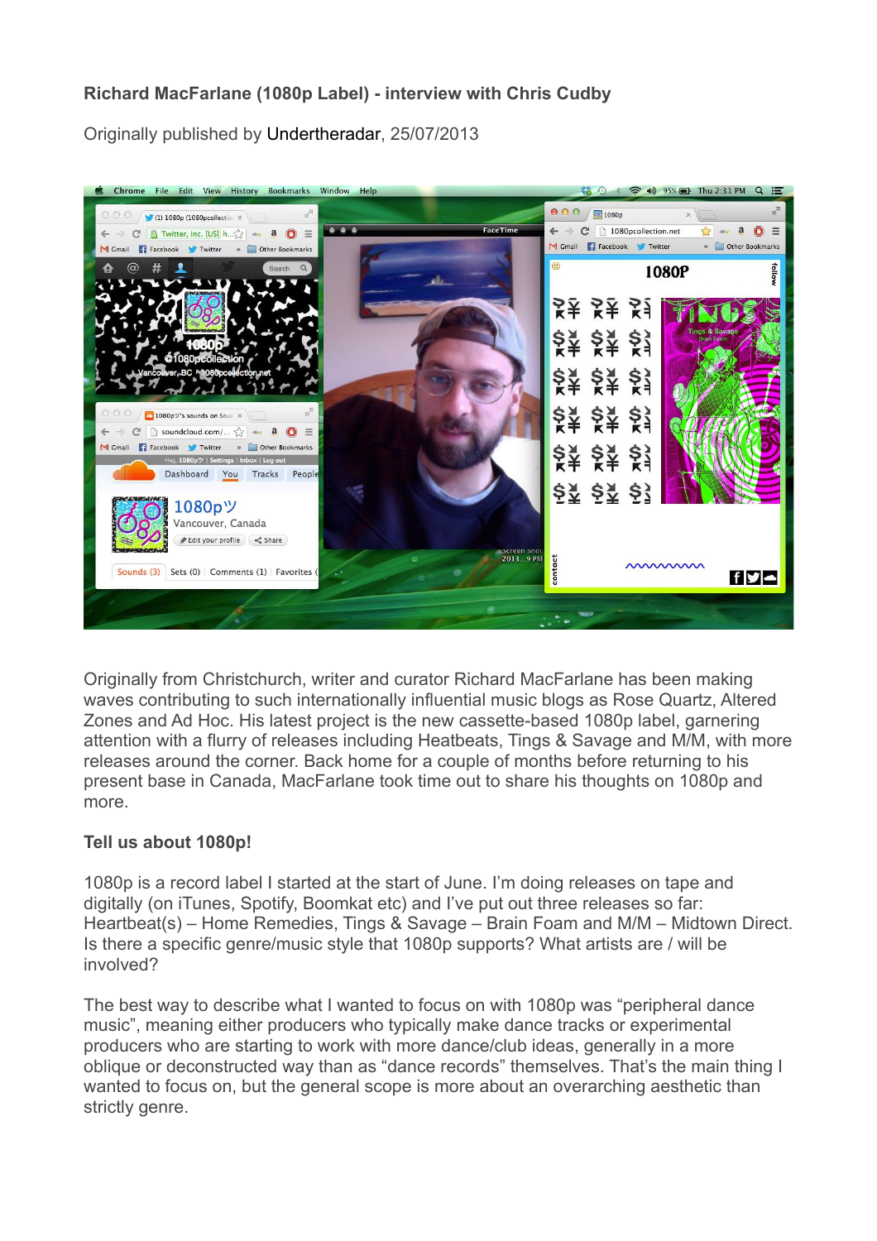# **Richard MacFarlane (1080p Label) - interview with Chris Cudby**

Originally published by [Undertheradar,](http://www.undertheradar.co.nz/interview/626/Richard-MacFarlane-Rose-Quartz-On-New-Label-1080p.utr) 25/07/2013



Originally from Christchurch, writer and curator Richard MacFarlane has been making waves contributing to such internationally influential music blogs as Rose Quartz, Altered Zones and Ad Hoc. His latest project is the new cassette-based 1080p label, garnering attention with a flurry of releases including Heatbeats, Tings & Savage and M/M, with more releases around the corner. Back home for a couple of months before returning to his present base in Canada, MacFarlane took time out to share his thoughts on 1080p and more.

# **Tell us about 1080p!**

1080p is a record label I started at the start of June. I'm doing releases on tape and digitally (on iTunes, Spotify, Boomkat etc) and I've put out three releases so far: Heartbeat(s) – Home Remedies, Tings & Savage – Brain Foam and M/M – Midtown Direct. Is there a specific genre/music style that 1080p supports? What artists are / will be involved?

The best way to describe what I wanted to focus on with 1080p was "peripheral dance music", meaning either producers who typically make dance tracks or experimental producers who are starting to work with more dance/club ideas, generally in a more oblique or deconstructed way than as "dance records" themselves. That's the main thing I wanted to focus on, but the general scope is more about an overarching aesthetic than strictly genre.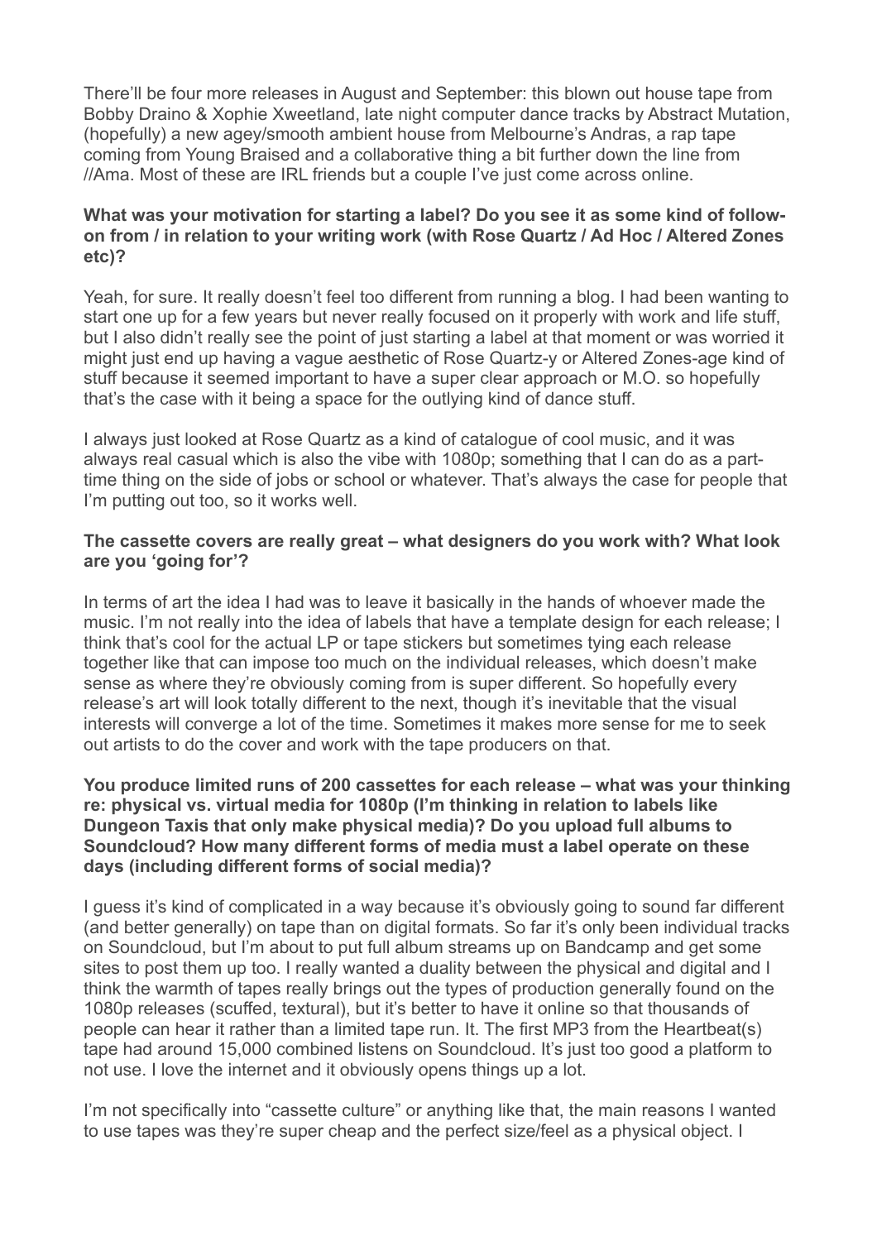There'll be four more releases in August and September: this blown out house tape from Bobby Draino & Xophie Xweetland, late night computer dance tracks by Abstract Mutation, (hopefully) a new agey/smooth ambient house from Melbourne's Andras, a rap tape coming from Young Braised and a collaborative thing a bit further down the line from //Ama. Most of these are IRL friends but a couple I've just come across online.

## **What was your motivation for starting a label? Do you see it as some kind of followon from / in relation to your writing work (with Rose Quartz / Ad Hoc / Altered Zones etc)?**

Yeah, for sure. It really doesn't feel too different from running a blog. I had been wanting to start one up for a few years but never really focused on it properly with work and life stuff, but I also didn't really see the point of just starting a label at that moment or was worried it might just end up having a vague aesthetic of Rose Quartz-y or Altered Zones-age kind of stuff because it seemed important to have a super clear approach or M.O. so hopefully that's the case with it being a space for the outlying kind of dance stuff.

I always just looked at Rose Quartz as a kind of catalogue of cool music, and it was always real casual which is also the vibe with 1080p; something that I can do as a parttime thing on the side of jobs or school or whatever. That's always the case for people that I'm putting out too, so it works well.

# **The cassette covers are really great – what designers do you work with? What look are you 'going for'?**

In terms of art the idea I had was to leave it basically in the hands of whoever made the music. I'm not really into the idea of labels that have a template design for each release; I think that's cool for the actual LP or tape stickers but sometimes tying each release together like that can impose too much on the individual releases, which doesn't make sense as where they're obviously coming from is super different. So hopefully every release's art will look totally different to the next, though it's inevitable that the visual interests will converge a lot of the time. Sometimes it makes more sense for me to seek out artists to do the cover and work with the tape producers on that.

#### **You produce limited runs of 200 cassettes for each release – what was your thinking re: physical vs. virtual media for 1080p (I'm thinking in relation to labels like Dungeon Taxis that only make physical media)? Do you upload full albums to Soundcloud? How many different forms of media must a label operate on these days (including different forms of social media)?**

I guess it's kind of complicated in a way because it's obviously going to sound far different (and better generally) on tape than on digital formats. So far it's only been individual tracks on Soundcloud, but I'm about to put full album streams up on Bandcamp and get some sites to post them up too. I really wanted a duality between the physical and digital and I think the warmth of tapes really brings out the types of production generally found on the 1080p releases (scuffed, textural), but it's better to have it online so that thousands of people can hear it rather than a limited tape run. It. The first MP3 from the Heartbeat(s) tape had around 15,000 combined listens on Soundcloud. It's just too good a platform to not use. I love the internet and it obviously opens things up a lot.

I'm not specifically into "cassette culture" or anything like that, the main reasons I wanted to use tapes was they're super cheap and the perfect size/feel as a physical object. I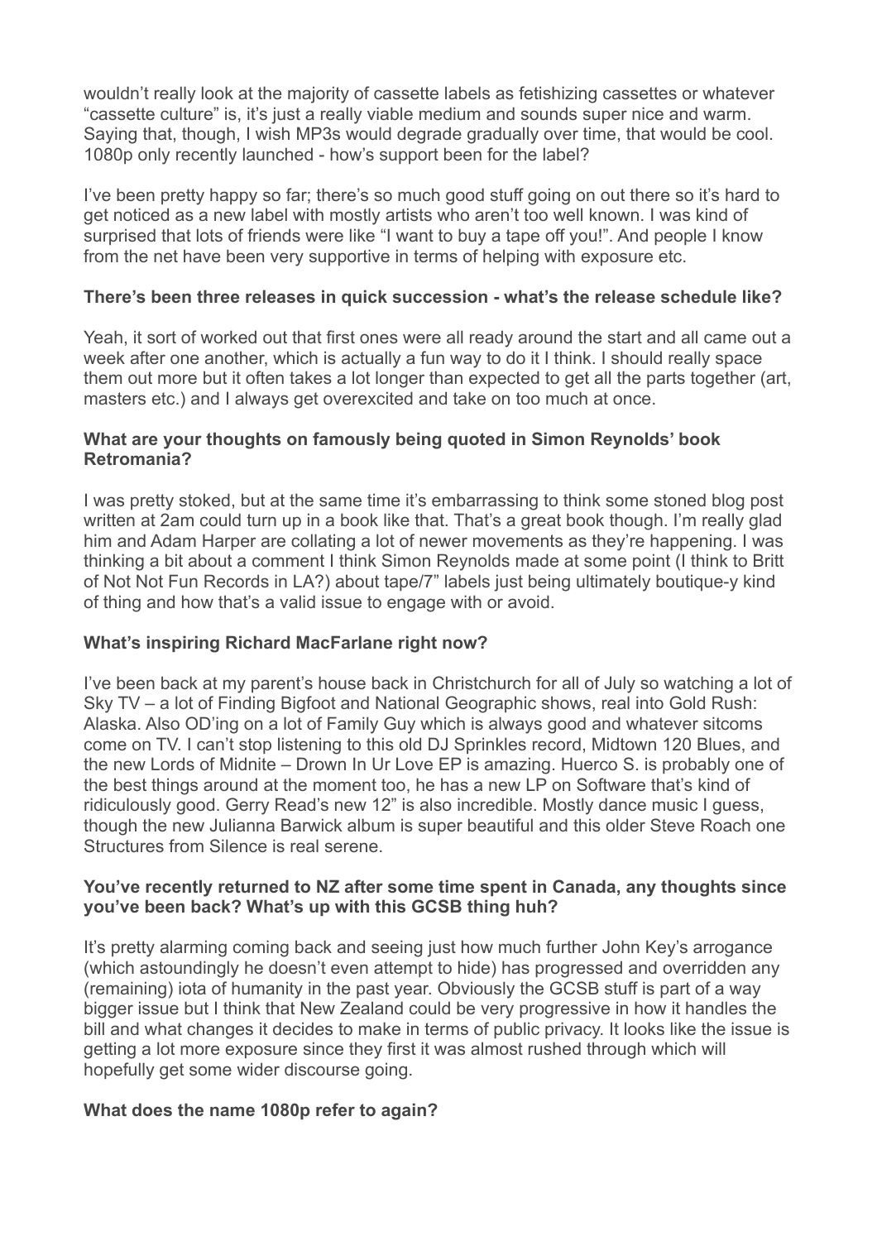wouldn't really look at the majority of cassette labels as fetishizing cassettes or whatever "cassette culture" is, it's just a really viable medium and sounds super nice and warm. Saying that, though, I wish MP3s would degrade gradually over time, that would be cool. 1080p only recently launched - how's support been for the label?

I've been pretty happy so far; there's so much good stuff going on out there so it's hard to get noticed as a new label with mostly artists who aren't too well known. I was kind of surprised that lots of friends were like "I want to buy a tape off you!". And people I know from the net have been very supportive in terms of helping with exposure etc.

# **There's been three releases in quick succession - what's the release schedule like?**

Yeah, it sort of worked out that first ones were all ready around the start and all came out a week after one another, which is actually a fun way to do it I think. I should really space them out more but it often takes a lot longer than expected to get all the parts together (art, masters etc.) and I always get overexcited and take on too much at once.

# **What are your thoughts on famously being quoted in Simon Reynolds' book Retromania?**

I was pretty stoked, but at the same time it's embarrassing to think some stoned blog post written at 2am could turn up in a book like that. That's a great book though. I'm really glad him and Adam Harper are collating a lot of newer movements as they're happening. I was thinking a bit about a comment I think Simon Reynolds made at some point (I think to Britt of Not Not Fun Records in LA?) about tape/7" labels just being ultimately boutique-y kind of thing and how that's a valid issue to engage with or avoid.

## **What's inspiring Richard MacFarlane right now?**

I've been back at my parent's house back in Christchurch for all of July so watching a lot of Sky TV – a lot of Finding Bigfoot and National Geographic shows, real into Gold Rush: Alaska. Also OD'ing on a lot of Family Guy which is always good and whatever sitcoms come on TV. I can't stop listening to this old DJ Sprinkles record, Midtown 120 Blues, and the new Lords of Midnite – Drown In Ur Love EP is amazing. Huerco S. is probably one of the best things around at the moment too, he has a new LP on Software that's kind of ridiculously good. Gerry Read's new 12" is also incredible. Mostly dance music I guess, though the new Julianna Barwick album is super beautiful and this older Steve Roach one Structures from Silence is real serene.

## **You've recently returned to NZ after some time spent in Canada, any thoughts since you've been back? What's up with this GCSB thing huh?**

It's pretty alarming coming back and seeing just how much further John Key's arrogance (which astoundingly he doesn't even attempt to hide) has progressed and overridden any (remaining) iota of humanity in the past year. Obviously the GCSB stuff is part of a way bigger issue but I think that New Zealand could be very progressive in how it handles the bill and what changes it decides to make in terms of public privacy. It looks like the issue is getting a lot more exposure since they first it was almost rushed through which will hopefully get some wider discourse going.

## **What does the name 1080p refer to again?**